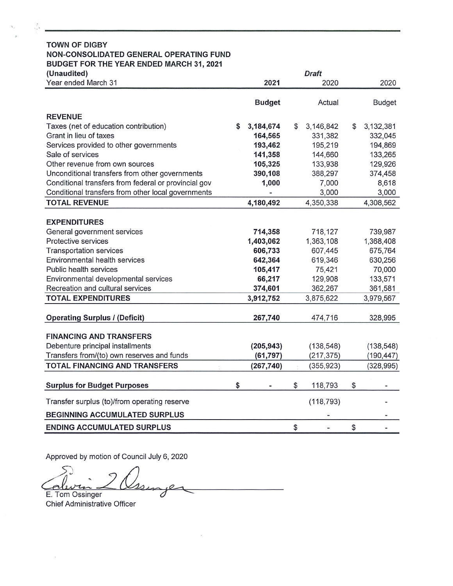| <b>TOWN OF DIGBY</b>                                 |    |               |                 |                 |
|------------------------------------------------------|----|---------------|-----------------|-----------------|
| NON-CONSOLIDATED GENERAL OPERATING FUND              |    |               |                 |                 |
| <b>BUDGET FOR THE YEAR ENDED MARCH 31, 2021</b>      |    |               |                 |                 |
| (Unaudited)                                          |    |               | <b>Draft</b>    |                 |
| Year ended March 31                                  |    | 2021          | 2020            | 2020            |
|                                                      |    |               |                 |                 |
|                                                      |    | <b>Budget</b> | Actual          | <b>Budget</b>   |
| <b>REVENUE</b>                                       |    |               |                 |                 |
| Taxes (net of education contribution)                | \$ | 3,184,674     | \$<br>3,146,842 | \$<br>3,132,381 |
| Grant in lieu of taxes                               |    | 164,565       | 331,382         | 332,045         |
| Services provided to other governments               |    | 193,462       | 195,219         | 194,869         |
| Sale of services                                     |    | 141,358       | 144,660         | 133,265         |
| Other revenue from own sources                       |    | 105,325       | 133,938         | 129,926         |
| Unconditional transfers from other governments       |    | 390,108       | 388,297         | 374,458         |
| Conditional transfers from federal or provincial gov |    | 1,000         | 7,000           | 8,618           |
| Conditional transfers from other local governments   |    |               | 3,000           | 3,000           |
| <b>TOTAL REVENUE</b>                                 |    | 4,180,492     | 4,350,338       | 4,308,562       |
|                                                      |    |               |                 |                 |
| <b>EXPENDITURES</b>                                  |    |               |                 |                 |
| General government services                          |    | 714,358       | 718,127         | 739,987         |
| Protective services                                  |    | 1,403,062     | 1,363,108       | 1,368,408       |
| <b>Transportation services</b>                       |    | 606,733       | 607,445         | 675,764         |
| Environmental health services                        |    | 642,364       | 619,346         | 630,256         |
| Public health services                               |    | 105,417       | 75,421          | 70,000          |
| Environmental developmental services                 |    | 66,217        | 129,908         | 133,571         |
| Recreation and cultural services                     |    | 374,601       | 362,267         | 361,581         |
| <b>TOTAL EXPENDITURES</b>                            |    | 3,912,752     | 3,875,622       | 3,979,567       |
|                                                      |    |               |                 |                 |
| <b>Operating Surplus / (Deficit)</b>                 |    | 267,740       | 474,716         | 328,995         |
|                                                      |    |               |                 |                 |
| <b>FINANCING AND TRANSFERS</b>                       |    |               |                 |                 |
| Debenture principal installments                     |    | (205, 943)    | (138, 548)      | (138, 548)      |
| Transfers from/(to) own reserves and funds           |    | (61, 797)     | (217, 375)      | (190,447)       |
| <b>TOTAL FINANCING AND TRANSFERS</b>                 |    | (267, 740)    | (355, 923)      | (328, 995)      |
| <b>Surplus for Budget Purposes</b>                   | S  |               | \$<br>118,793   | \$              |
| Transfer surplus (to)/from operating reserve         |    |               | (118, 793)      |                 |
| <b>BEGINNING ACCUMULATED SURPLUS</b>                 |    |               |                 |                 |
| <b>ENDING ACCUMULATED SURPLUS</b>                    |    |               | \$              | \$              |

Approved by motion of Council July 6, 2020

 $\overline{\phantom{a}}$ E. Tom Ossinger s

Chief Administrative Officer

 $\overline{\phantom{a}}$ 

 $\sum_{i=1}^{\infty}$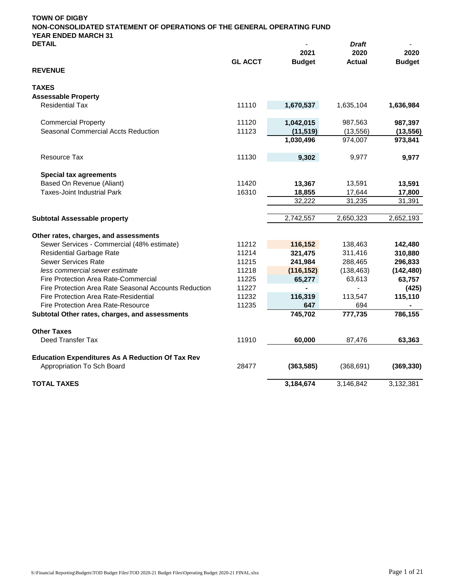| <b>DETAIL</b>                                           |                |               | <b>Draft</b>  |               |
|---------------------------------------------------------|----------------|---------------|---------------|---------------|
|                                                         |                | 2021          | 2020          | 2020          |
| <b>REVENUE</b>                                          | <b>GL ACCT</b> | <b>Budget</b> | <b>Actual</b> | <b>Budget</b> |
| <b>TAXES</b>                                            |                |               |               |               |
| <b>Assessable Property</b>                              |                |               |               |               |
| <b>Residential Tax</b>                                  | 11110          | 1,670,537     | 1,635,104     | 1,636,984     |
| <b>Commercial Property</b>                              | 11120          | 1,042,015     | 987,563       | 987,397       |
| <b>Seasonal Commercial Accts Reduction</b>              | 11123          | (11, 519)     | (13, 556)     | (13, 556)     |
|                                                         |                | 1,030,496     | 974,007       | 973,841       |
| <b>Resource Tax</b>                                     | 11130          | 9,302         | 9,977         | 9,977         |
| <b>Special tax agreements</b>                           |                |               |               |               |
| Based On Revenue (Aliant)                               | 11420          | 13,367        | 13,591        | 13,591        |
| <b>Taxes-Joint Industrial Park</b>                      | 16310          | 18,855        | 17,644        | 17,800        |
|                                                         |                | 32,222        | 31,235        | 31,391        |
| <b>Subtotal Assessable property</b>                     |                | 2,742,557     | 2,650,323     | 2,652,193     |
| Other rates, charges, and assessments                   |                |               |               |               |
| Sewer Services - Commercial (48% estimate)              | 11212          | 116,152       | 138,463       | 142,480       |
| <b>Residential Garbage Rate</b>                         | 11214          | 321,475       | 311,416       | 310,880       |
| <b>Sewer Services Rate</b>                              | 11215          | 241,984       | 288,465       | 296,833       |
| less commercial sewer estimate                          | 11218          | (116, 152)    | (138, 463)    | (142, 480)    |
| Fire Protection Area Rate-Commercial                    | 11225          | 65,277        | 63,613        | 63,757        |
| Fire Protection Area Rate Seasonal Accounts Reduction   | 11227          |               |               | (425)         |
| Fire Protection Area Rate-Residential                   | 11232          | 116,319       | 113,547       | 115,110       |
| <b>Fire Protection Area Rate-Resource</b>               | 11235          | 647           | 694           |               |
| Subtotal Other rates, charges, and assessments          |                | 745,702       | 777,735       | 786,155       |
| <b>Other Taxes</b>                                      |                |               |               |               |
| Deed Transfer Tax                                       | 11910          | 60,000        | 87,476        | 63,363        |
| <b>Education Expenditures As A Reduction Of Tax Rev</b> |                |               |               |               |
| Appropriation To Sch Board                              | 28477          | (363, 585)    | (368, 691)    | (369, 330)    |
| <b>TOTAL TAXES</b>                                      |                | 3.184.674     | 3.146.842     | 3,132,381     |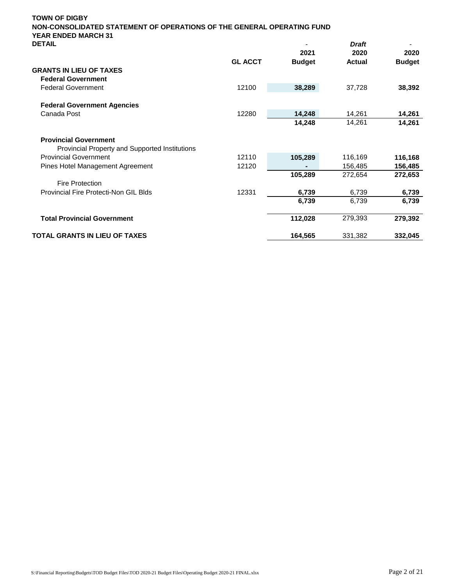| <b>TOWN OF DIGBY</b><br>NON-CONSOLIDATED STATEMENT OF OPERATIONS OF THE GENERAL OPERATING FUND<br><b>YEAR ENDED MARCH 31</b> |                |                       |                       |                       |
|------------------------------------------------------------------------------------------------------------------------------|----------------|-----------------------|-----------------------|-----------------------|
| <b>DETAIL</b>                                                                                                                |                |                       | <b>Draft</b>          |                       |
|                                                                                                                              | <b>GL ACCT</b> | 2021<br><b>Budget</b> | 2020<br><b>Actual</b> | 2020<br><b>Budget</b> |
| <b>GRANTS IN LIEU OF TAXES</b>                                                                                               |                |                       |                       |                       |
| <b>Federal Government</b>                                                                                                    |                |                       |                       |                       |
| <b>Federal Government</b>                                                                                                    | 12100          | 38,289                | 37,728                | 38,392                |
| <b>Federal Government Agencies</b>                                                                                           |                |                       |                       |                       |
| Canada Post                                                                                                                  | 12280          | 14,248                | 14,261                | 14,261                |
|                                                                                                                              |                | 14,248                | 14,261                | 14,261                |
| <b>Provincial Government</b>                                                                                                 |                |                       |                       |                       |
| Provincial Property and Supported Institutions                                                                               |                |                       |                       |                       |
| <b>Provincial Government</b>                                                                                                 | 12110          | 105,289               | 116,169               | 116,168               |
| Pines Hotel Management Agreement                                                                                             | 12120          |                       | 156,485               | 156,485               |
|                                                                                                                              |                | 105,289               | 272,654               | 272,653               |
| <b>Fire Protection</b>                                                                                                       |                |                       |                       |                       |
| Provincial Fire Protecti-Non GIL Blds                                                                                        | 12331          | 6,739                 | 6,739                 | 6,739                 |
|                                                                                                                              |                | 6,739                 | 6,739                 | 6,739                 |
| <b>Total Provincial Government</b>                                                                                           |                | 112,028               | 279,393               | 279,392               |
| TOTAL GRANTS IN LIEU OF TAXES                                                                                                |                | 164,565               | 331,382               | 332,045               |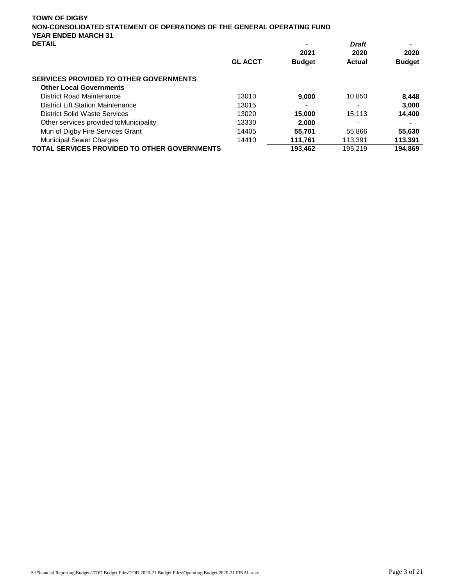| <b>TOWN OF DIGBY</b><br>NON-CONSOLIDATED STATEMENT OF OPERATIONS OF THE GENERAL OPERATING FUND<br><b>YEAR ENDED MARCH 31</b> |                |               |               |               |
|------------------------------------------------------------------------------------------------------------------------------|----------------|---------------|---------------|---------------|
| <b>DETAIL</b>                                                                                                                |                |               | <b>Draft</b>  |               |
|                                                                                                                              |                | 2021          | 2020          | 2020          |
|                                                                                                                              | <b>GL ACCT</b> | <b>Budget</b> | <b>Actual</b> | <b>Budget</b> |
| <b>SERVICES PROVIDED TO OTHER GOVERNMENTS</b>                                                                                |                |               |               |               |
| <b>Other Local Governments</b>                                                                                               |                |               |               |               |
| District Road Maintenance                                                                                                    | 13010          | 9,000         | 10,850        | 8,448         |
| <b>District Lift Station Maintenance</b>                                                                                     | 13015          | ۰             |               | 3,000         |
| District Solid Waste Services                                                                                                | 13020          | 15.000        | 15,113        | 14,400        |
| Other services provided to Municipality                                                                                      | 13330          | 2.000         |               |               |
| Mun of Digby Fire Services Grant                                                                                             | 14405          | 55.701        | 55.866        | 55,630        |
| <b>Municipal Sewer Charges</b>                                                                                               | 14410          | 111,761       | 113,391       | 113,391       |
| <b>TOTAL SERVICES PROVIDED TO OTHER GOVERNMENTS</b>                                                                          |                | 193,462       | 195,219       | 194.869       |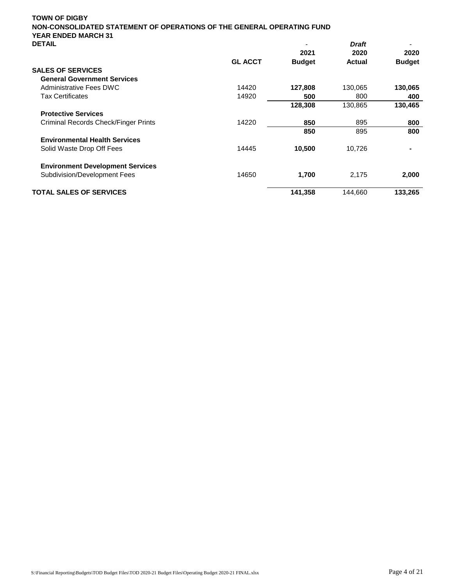| NON-CONSOLIDATED STATEMENT OF OPERATIONS OF THE GENERAL OPERATING FUND<br><b>YEAR ENDED MARCH 31</b> |                |               |               |               |
|------------------------------------------------------------------------------------------------------|----------------|---------------|---------------|---------------|
| <b>DETAIL</b>                                                                                        |                |               | <b>Draft</b>  |               |
|                                                                                                      |                | 2021          | 2020          | 2020          |
|                                                                                                      | <b>GL ACCT</b> | <b>Budget</b> | <b>Actual</b> | <b>Budget</b> |
| <b>SALES OF SERVICES</b>                                                                             |                |               |               |               |
| <b>General Government Services</b>                                                                   |                |               |               |               |
| Administrative Fees DWC                                                                              | 14420          | 127,808       | 130,065       | 130,065       |
| <b>Tax Certificates</b>                                                                              | 14920          | 500           | 800           | 400           |
|                                                                                                      |                | 128,308       | 130,865       | 130,465       |
| <b>Protective Services</b>                                                                           |                |               |               |               |
| Criminal Records Check/Finger Prints                                                                 | 14220          | 850           | 895           | 800           |
|                                                                                                      |                | 850           | 895           | 800           |
| <b>Environmental Health Services</b>                                                                 |                |               |               |               |
| Solid Waste Drop Off Fees                                                                            | 14445          | 10,500        | 10,726        |               |
| <b>Environment Development Services</b>                                                              |                |               |               |               |
| Subdivision/Development Fees                                                                         | 14650          | 1,700         | 2,175         | 2,000         |
| <b>TOTAL SALES OF SERVICES</b>                                                                       |                | 141,358       | 144,660       | 133,265       |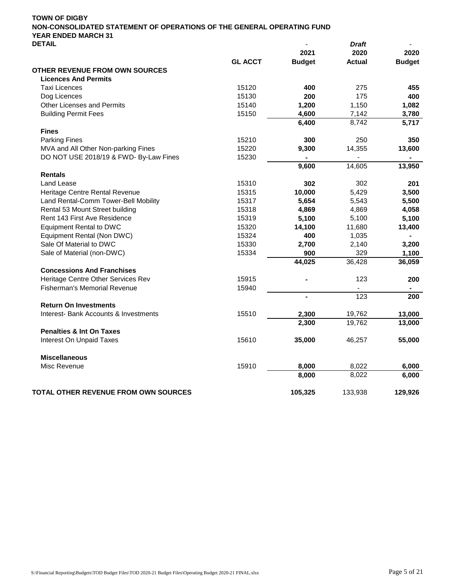|                                             |                | 2021           | 2020          | 2020          |
|---------------------------------------------|----------------|----------------|---------------|---------------|
|                                             | <b>GL ACCT</b> | <b>Budget</b>  | <b>Actual</b> | <b>Budget</b> |
| <b>OTHER REVENUE FROM OWN SOURCES</b>       |                |                |               |               |
| <b>Licences And Permits</b>                 |                |                |               |               |
| <b>Taxi Licences</b>                        | 15120          | 400            | 275           | 455           |
| Dog Licences                                | 15130          | 200            | 175           | 400           |
| Other Licenses and Permits                  | 15140          | 1,200          | 1,150         | 1,082         |
| <b>Building Permit Fees</b>                 | 15150          | 4,600          | 7,142         | 3,780         |
|                                             |                | 6,400          | 8,742         | 5,717         |
| <b>Fines</b>                                |                |                |               |               |
| <b>Parking Fines</b>                        | 15210          | 300            | 250           | 350           |
| MVA and All Other Non-parking Fines         | 15220          | 9,300          | 14,355        | 13,600        |
| DO NOT USE 2018/19 & FWD- By-Law Fines      | 15230          |                |               |               |
|                                             |                | 9,600          | 14,605        | 13,950        |
| <b>Rentals</b>                              |                |                |               |               |
| <b>Land Lease</b>                           | 15310          | 302            | 302           | 201           |
| Heritage Centre Rental Revenue              | 15315          | 10,000         | 5,429         | 3,500         |
| Land Rental-Comm Tower-Bell Mobility        | 15317          | 5,654          | 5,543         | 5,500         |
| Rental 53 Mount Street building             | 15318          | 4,869          | 4,869         | 4,058         |
| Rent 143 First Ave Residence                | 15319          | 5,100          | 5,100         | 5,100         |
| <b>Equipment Rental to DWC</b>              | 15320          | 14,100         | 11,680        | 13,400        |
| Equipment Rental (Non DWC)                  | 15324          | 400            | 1,035         |               |
| Sale Of Material to DWC                     | 15330          | 2,700          | 2,140         | 3,200         |
| Sale of Material (non-DWC)                  | 15334          | 900            | 329           | 1,100         |
|                                             |                | 44,025         | 36,428        | 36,059        |
| <b>Concessions And Franchises</b>           |                |                |               |               |
| Heritage Centre Other Services Rev          | 15915          |                | 123           | 200           |
| <b>Fisherman's Memorial Revenue</b>         | 15940          |                |               |               |
|                                             |                | $\blacksquare$ | 123           | 200           |
| <b>Return On Investments</b>                |                |                |               |               |
| Interest- Bank Accounts & Investments       | 15510          | 2,300          | 19,762        | 13,000        |
|                                             |                | 2,300          | 19,762        | 13,000        |
| <b>Penalties &amp; Int On Taxes</b>         |                |                |               |               |
| Interest On Unpaid Taxes                    | 15610          | 35,000         | 46,257        | 55,000        |
| <b>Miscellaneous</b>                        |                |                |               |               |
| Misc Revenue                                | 15910          | 8,000          | 8,022         | 6,000         |
|                                             |                | 8,000          | 8,022         | 6,000         |
| <b>TOTAL OTHER REVENUE FROM OWN SOURCES</b> |                | 105,325        | 133,938       | 129,926       |
|                                             |                |                |               |               |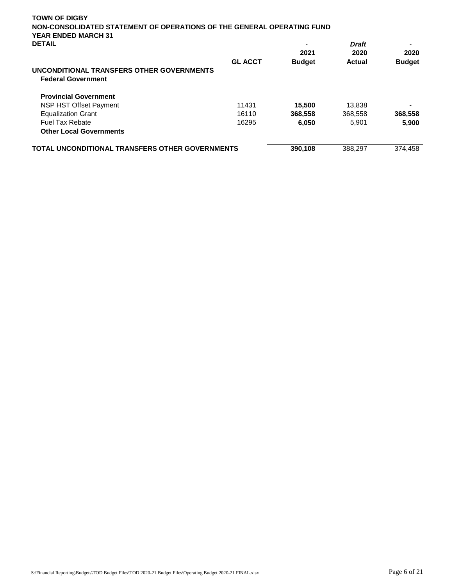| <b>YEAR ENDED MARCH 31</b><br><b>DETAIL</b>                            | <b>GL ACCT</b> | 2021<br><b>Budget</b> | <b>Draft</b><br>2020<br><b>Actual</b> | 2020<br><b>Budget</b> |
|------------------------------------------------------------------------|----------------|-----------------------|---------------------------------------|-----------------------|
| UNCONDITIONAL TRANSFERS OTHER GOVERNMENTS<br><b>Federal Government</b> |                |                       |                                       |                       |
| <b>Provincial Government</b>                                           |                |                       |                                       |                       |
| NSP HST Offset Payment                                                 | 11431          | 15,500                | 13,838                                | -                     |
| <b>Equalization Grant</b>                                              | 16110          | 368,558               | 368,558                               | 368,558               |
| <b>Fuel Tax Rebate</b>                                                 | 16295          | 6,050                 | 5,901                                 | 5,900                 |
| <b>Other Local Governments</b>                                         |                |                       |                                       |                       |
| <b>TOTAL UNCONDITIONAL TRANSFERS OTHER GOVERNMENTS</b>                 |                | 390,108               | 388,297                               | 374,458               |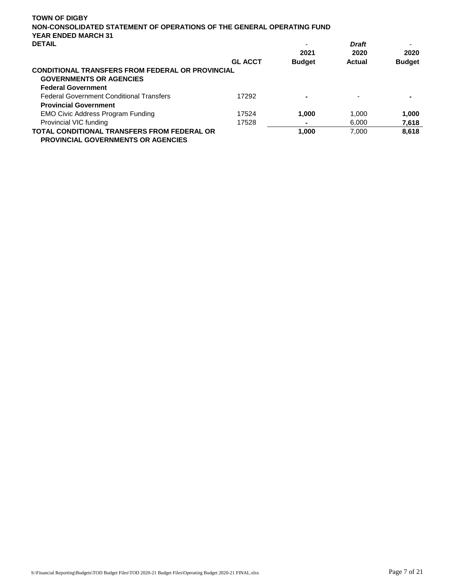| <b>TOWN OF DIGBY</b>                                                                                                   |                |               |              |               |
|------------------------------------------------------------------------------------------------------------------------|----------------|---------------|--------------|---------------|
| NON-CONSOLIDATED STATEMENT OF OPERATIONS OF THE GENERAL OPERATING FUND<br><b>YEAR ENDED MARCH 31</b>                   |                |               |              |               |
| <b>DETAIL</b>                                                                                                          |                |               | <b>Draft</b> |               |
|                                                                                                                        |                | 2021          | 2020         | 2020          |
|                                                                                                                        | <b>GL ACCT</b> | <b>Budget</b> | Actual       | <b>Budget</b> |
| <b>CONDITIONAL TRANSFERS FROM FEDERAL OR PROVINCIAL</b><br><b>GOVERNMENTS OR AGENCIES</b><br><b>Federal Government</b> |                |               |              |               |
| <b>Federal Government Conditional Transfers</b>                                                                        | 17292          | -             |              |               |
| <b>Provincial Government</b>                                                                                           |                |               |              |               |
| <b>EMO Civic Address Program Funding</b>                                                                               | 17524          | 1.000         | 1,000        | 1,000         |
| Provincial VIC funding                                                                                                 | 17528          |               | 6.000        | 7,618         |
| <b>TOTAL CONDITIONAL TRANSFERS FROM FEDERAL OR</b><br><b>PROVINCIAL GOVERNMENTS OR AGENCIES</b>                        |                | 1.000         | 7.000        | 8,618         |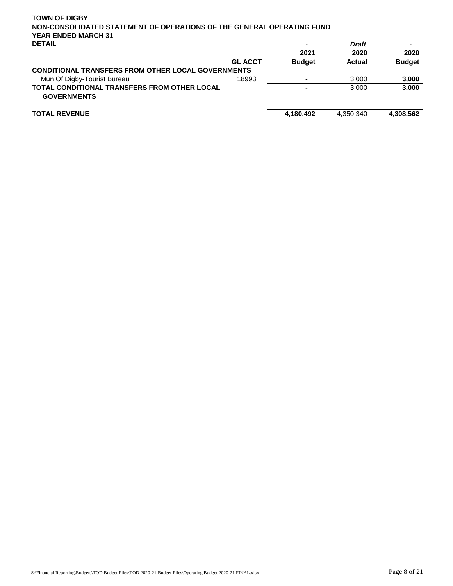| <b>TOWN OF DIGBY</b>                                                      |                |               |              |               |
|---------------------------------------------------------------------------|----------------|---------------|--------------|---------------|
| NON-CONSOLIDATED STATEMENT OF OPERATIONS OF THE GENERAL OPERATING FUND    |                |               |              |               |
| <b>YEAR ENDED MARCH 31</b>                                                |                |               |              |               |
| <b>DETAIL</b>                                                             |                |               | <b>Draft</b> |               |
|                                                                           |                | 2021          | 2020         | 2020          |
|                                                                           | <b>GL ACCT</b> | <b>Budget</b> | Actual       | <b>Budget</b> |
| <b>CONDITIONAL TRANSFERS FROM OTHER LOCAL GOVERNMENTS</b>                 |                |               |              |               |
| Mun Of Digby-Tourist Bureau                                               | 18993          |               | 3.000        | 3,000         |
| <b>TOTAL CONDITIONAL TRANSFERS FROM OTHER LOCAL</b><br><b>GOVERNMENTS</b> |                |               | 3,000        | 3,000         |
| <b>TOTAL REVENUE</b>                                                      |                | 4,180,492     | 4,350,340    | 4,308,562     |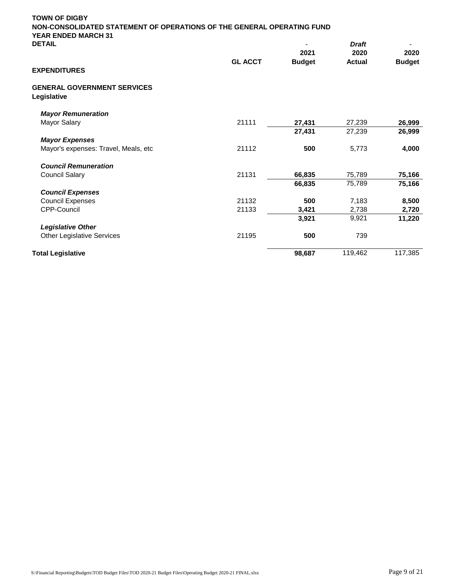| <b>TOWN OF DIGBY</b>                              | NON-CONSOLIDATED STATEMENT OF OPERATIONS OF THE GENERAL OPERATING FUND |               |               |               |  |
|---------------------------------------------------|------------------------------------------------------------------------|---------------|---------------|---------------|--|
| <b>YEAR ENDED MARCH 31</b><br><b>DETAIL</b>       |                                                                        |               | <b>Draft</b>  |               |  |
|                                                   |                                                                        | 2021          | 2020          | 2020          |  |
|                                                   | <b>GL ACCT</b>                                                         | <b>Budget</b> | <b>Actual</b> | <b>Budget</b> |  |
| <b>EXPENDITURES</b>                               |                                                                        |               |               |               |  |
| <b>GENERAL GOVERNMENT SERVICES</b><br>Legislative |                                                                        |               |               |               |  |
| <b>Mayor Remuneration</b>                         |                                                                        |               |               |               |  |
| Mayor Salary                                      | 21111                                                                  | 27,431        | 27,239        | 26,999        |  |
|                                                   |                                                                        | 27,431        | 27,239        | 26,999        |  |
| <b>Mayor Expenses</b>                             |                                                                        |               |               |               |  |
| Mayor's expenses: Travel, Meals, etc              | 21112                                                                  | 500           | 5,773         | 4,000         |  |
| <b>Council Remuneration</b>                       |                                                                        |               |               |               |  |
| <b>Council Salary</b>                             | 21131                                                                  | 66,835        | 75,789        | 75,166        |  |
|                                                   |                                                                        | 66,835        | 75,789        | 75,166        |  |
| <b>Council Expenses</b>                           |                                                                        |               |               |               |  |
| <b>Council Expenses</b>                           | 21132                                                                  | 500           | 7,183         | 8,500         |  |
| CPP-Council                                       | 21133                                                                  | 3,421         | 2,738         | 2,720         |  |
|                                                   |                                                                        | 3,921         | 9,921         | 11,220        |  |
| <b>Legislative Other</b>                          |                                                                        |               |               |               |  |
| <b>Other Legislative Services</b>                 | 21195                                                                  | 500           | 739           |               |  |
| <b>Total Legislative</b>                          |                                                                        | 98.687        | 119,462       | 117,385       |  |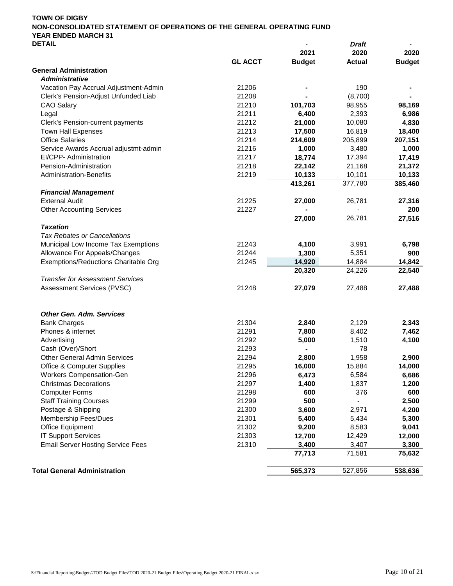|                                                        |                |               | וש וע         |               |
|--------------------------------------------------------|----------------|---------------|---------------|---------------|
|                                                        |                | 2021          | 2020          | 2020          |
|                                                        | <b>GL ACCT</b> | <b>Budget</b> | <b>Actual</b> | <b>Budget</b> |
| <b>General Administration</b><br><b>Administrative</b> |                |               |               |               |
| Vacation Pay Accrual Adjustment-Admin                  |                |               |               |               |
| Clerk's Pension-Adjust Unfunded Liab                   | 21206          |               | 190           |               |
|                                                        | 21208          |               | (8,700)       |               |
| <b>CAO Salary</b>                                      | 21210          | 101,703       | 98,955        | 98,169        |
| Legal                                                  | 21211          | 6,400         | 2,393         | 6,986         |
| Clerk's Pension-current payments                       | 21212          | 21,000        | 10,080        | 4,830         |
| <b>Town Hall Expenses</b>                              | 21213          | 17,500        | 16,819        | 18,400        |
| <b>Office Salaries</b>                                 | 21214          | 214,609       | 205,899       | 207,151       |
| Service Awards Accrual adjustmt-admin                  | 21216          | 1,000         | 3,480         | 1,000         |
| EI/CPP- Administration                                 | 21217          | 18,774        | 17,394        | 17,419        |
| Pension-Administration                                 | 21218          | 22,142        | 21,168        | 21,372        |
| <b>Administration-Benefits</b>                         | 21219          | 10,133        | 10,101        | 10,133        |
|                                                        |                | 413,261       | 377,780       | 385,460       |
| <b>Financial Management</b>                            |                |               |               |               |
| <b>External Audit</b>                                  | 21225          | 27,000        | 26,781        | 27,316        |
| <b>Other Accounting Services</b>                       | 21227          |               |               | 200           |
|                                                        |                | 27,000        | 26,781        | 27,516        |
| <b>Taxation</b>                                        |                |               |               |               |
| <b>Tax Rebates or Cancellations</b>                    |                |               |               |               |
| Municipal Low Income Tax Exemptions                    | 21243          | 4,100         | 3,991         | 6,798         |
| Allowance For Appeals/Changes                          | 21244          | 1,300         | 5,351         | 900           |
| Exemptions/Reductions Charitable Org                   | 21245          | 14,920        | 14,884        | 14,842        |
|                                                        |                | 20,320        | 24,226        | 22,540        |
| <b>Transfer for Assessment Services</b>                |                |               |               |               |
| Assessment Services (PVSC)                             | 21248          | 27,079        | 27,488        | 27,488        |
|                                                        |                |               |               |               |
| <b>Other Gen. Adm. Services</b>                        |                |               |               |               |
| <b>Bank Charges</b>                                    | 21304          | 2,840         | 2,129         | 2,343         |
| Phones & internet                                      | 21291          | 7,800         | 8,402         | 7,462         |
| Advertising                                            | 21292          | 5,000         | 1,510         | 4,100         |
| Cash (Over)/Short                                      | 21293          |               | 78            |               |
| <b>Other General Admin Services</b>                    | 21294          | 2,800         | 1,958         | 2,900         |
| <b>Office &amp; Computer Supplies</b>                  | 21295          | 16,000        | 15,884        | 14,000        |
| <b>Workers Compensation-Gen</b>                        | 21296          | 6,473         | 6,584         | 6,686         |
| <b>Christmas Decorations</b>                           | 21297          | 1,400         | 1,837         | 1,200         |
| <b>Computer Forms</b>                                  | 21298          | 600           | 376           | 600           |
| <b>Staff Training Courses</b>                          | 21299          | 500           |               | 2,500         |
| Postage & Shipping                                     | 21300          | 3,600         | 2,971         | 4,200         |
| Membership Fees/Dues                                   | 21301          | 5,400         | 5,434         | 5,300         |
| Office Equipment                                       | 21302          | 9,200         | 8,583         | 9,041         |
| <b>IT Support Services</b>                             | 21303          | 12,700        | 12,429        | 12,000        |
| <b>Email Server Hosting Service Fees</b>               | 21310          | 3,400         | 3,407         | 3,300         |
|                                                        |                | 77,713        | 71,581        | 75,632        |
| <b>Total General Administration</b>                    |                | 565,373       | 527,856       | 538,636       |
|                                                        |                |               |               |               |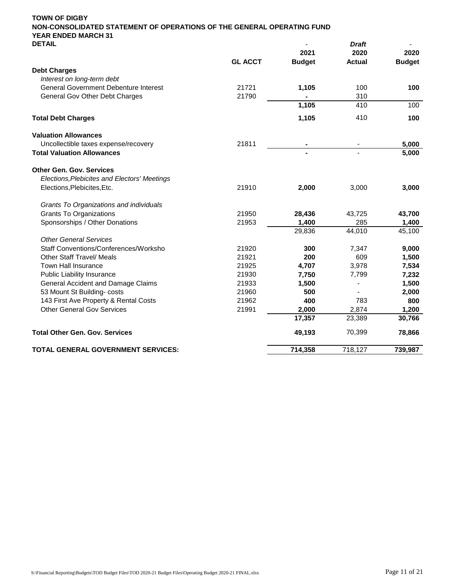| <b>DETAIL</b>                                |                | 2021          | <b>Draft</b><br>2020 | 2020          |
|----------------------------------------------|----------------|---------------|----------------------|---------------|
|                                              | <b>GL ACCT</b> | <b>Budget</b> | <b>Actual</b>        | <b>Budget</b> |
| <b>Debt Charges</b>                          |                |               |                      |               |
| Interest on long-term debt                   |                |               |                      |               |
| <b>General Government Debenture Interest</b> | 21721          | 1,105         | 100                  | 100           |
| General Gov Other Debt Charges               | 21790          |               | 310                  |               |
|                                              |                | 1,105         | 410                  | 100           |
| <b>Total Debt Charges</b>                    |                | 1,105         | 410                  | 100           |
| <b>Valuation Allowances</b>                  |                |               |                      |               |
| Uncollectible taxes expense/recovery         | 21811          |               |                      | 5,000         |
| <b>Total Valuation Allowances</b>            |                |               |                      | 5,000         |
| <b>Other Gen. Gov. Services</b>              |                |               |                      |               |
| Elections, Plebicites and Electors' Meetings |                |               |                      |               |
| Elections, Plebicites, Etc.                  | 21910          | 2,000         | 3,000                | 3,000         |
| Grants To Organizations and individuals      |                |               |                      |               |
| <b>Grants To Organizations</b>               | 21950          | 28,436        | 43,725               | 43,700        |
| Sponsorships / Other Donations               | 21953          | 1,400         | 285                  | 1,400         |
|                                              |                | 29,836        | 44,010               | 45,100        |
| <b>Other General Services</b>                |                |               |                      |               |
| Staff Conventions/Conferences/Worksho        | 21920          | 300           | 7,347                | 9,000         |
| <b>Other Staff Travel/ Meals</b>             | 21921          | 200           | 609                  | 1,500         |
| Town Hall Insurance                          | 21925          | 4,707         | 3,978                | 7,534         |
| Public Liability Insurance                   | 21930          | 7,750         | 7,799                | 7,232         |
| <b>General Accident and Damage Claims</b>    | 21933          | 1,500         |                      | 1,500         |
| 53 Mount St Building-costs                   | 21960          | 500           |                      | 2,000         |
| 143 First Ave Property & Rental Costs        | 21962          | 400           | 783                  | 800           |
| <b>Other General Gov Services</b>            | 21991          | 2,000         | 2,874                | 1,200         |
|                                              |                | 17,357        | 23,389               | 30,766        |
| <b>Total Other Gen. Gov. Services</b>        |                | 49,193        | 70,399               | 78,866        |
| TOTAL GENERAL GOVERNMENT SERVICES:           |                | 714,358       | 718,127              | 739,987       |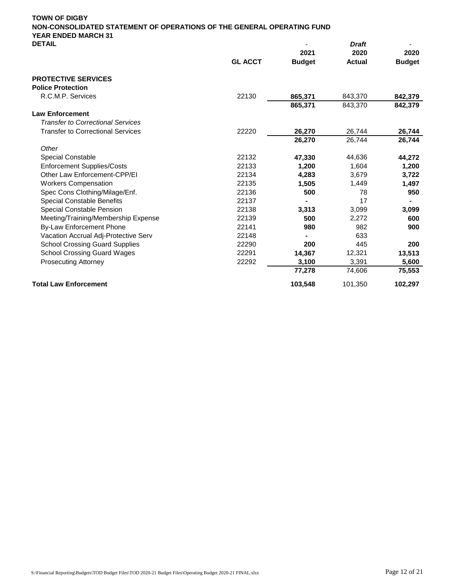| <b>DETAIL</b>                            |                |               |               |               |
|------------------------------------------|----------------|---------------|---------------|---------------|
|                                          |                | 2021          | 2020          | 2020          |
|                                          | <b>GL ACCT</b> | <b>Budget</b> | <b>Actual</b> | <b>Budget</b> |
| <b>PROTECTIVE SERVICES</b>               |                |               |               |               |
| <b>Police Protection</b>                 |                |               |               |               |
| R.C.M.P. Services                        | 22130          | 865,371       | 843,370       | 842,379       |
|                                          |                | 865,371       | 843,370       | 842,379       |
| <b>Law Enforcement</b>                   |                |               |               |               |
| <b>Transfer to Correctional Services</b> |                |               |               |               |
| <b>Transfer to Correctional Services</b> | 22220          | 26,270        | 26,744        | 26,744        |
|                                          |                | 26,270        | 26,744        | 26,744        |
| Other                                    |                |               |               |               |
| <b>Special Constable</b>                 | 22132          | 47,330        | 44,636        | 44,272        |
| <b>Enforcement Supplies/Costs</b>        | 22133          | 1,200         | 1,604         | 1,200         |
| Other Law Enforcement-CPP/EI             | 22134          | 4,283         | 3.679         | 3,722         |
| <b>Workers Compensation</b>              | 22135          | 1,505         | 1,449         | 1,497         |
| Spec Cons Clothing/Milage/Enf.           | 22136          | 500           | 78            | 950           |
| <b>Special Constable Benefits</b>        | 22137          |               | 17            |               |
| <b>Special Constable Pension</b>         | 22138          | 3.313         | 3,099         | 3,099         |
| Meeting/Training/Membership Expense      | 22139          | 500           | 2,272         | 600           |
| <b>By-Law Enforcement Phone</b>          | 22141          | 980           | 982           | 900           |
| Vacation Accrual Adj-Protective Serv     | 22148          |               | 633           |               |
| <b>School Crossing Guard Supplies</b>    | 22290          | 200           | 445           | 200           |
| <b>School Crossing Guard Wages</b>       | 22291          | 14,367        | 12,321        | 13,513        |
| <b>Prosecuting Attorney</b>              | 22292          | 3,100         | 3,391         | 5,600         |
|                                          |                | 77,278        | 74,606        | 75,553        |
| <b>Total Law Enforcement</b>             |                | 103,548       | 101,350       | 102,297       |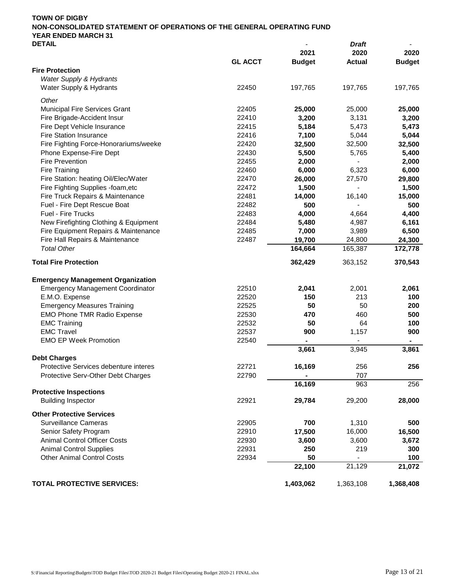| <b>DETAIL</b>                            |                |               | Draft         |               |
|------------------------------------------|----------------|---------------|---------------|---------------|
|                                          |                | 2021          | 2020          | 2020          |
|                                          | <b>GL ACCT</b> | <b>Budget</b> | <b>Actual</b> | <b>Budget</b> |
| <b>Fire Protection</b>                   |                |               |               |               |
| Water Supply & Hydrants                  |                |               |               |               |
| Water Supply & Hydrants                  | 22450          | 197,765       | 197,765       | 197,765       |
| Other                                    |                |               |               |               |
| Municipal Fire Services Grant            | 22405          | 25,000        | 25,000        | 25,000        |
| Fire Brigade-Accident Insur              | 22410          | 3,200         | 3,131         | 3,200         |
| Fire Dept Vehicle Insurance              | 22415          | 5,184         | 5,473         | 5,473         |
| <b>Fire Station Insurance</b>            | 22416          | 7,100         | 5,044         | 5,044         |
| Fire Fighting Force-Honorariums/weeke    | 22420          | 32,500        | 32,500        | 32,500        |
| Phone Expense-Fire Dept                  | 22430          | 5,500         | 5,765         | 5,400         |
| Fire Prevention                          | 22455          | 2,000         |               | 2,000         |
| Fire Training                            | 22460          | 6,000         | 6,323         | 6,000         |
| Fire Station: heating Oil/Elec/Water     | 22470          | 26,000        | 27,570        | 29,800        |
| Fire Fighting Supplies -foam, etc        | 22472          | 1,500         |               | 1,500         |
| Fire Truck Repairs & Maintenance         | 22481          | 14,000        | 16,140        | 15,000        |
| Fuel - Fire Dept Rescue Boat             | 22482          | 500           |               | 500           |
| Fuel - Fire Trucks                       | 22483          | 4,000         | 4,664         | 4,400         |
| New Firefighting Clothing & Equipment    | 22484          | 5,480         | 4,987         | 6,161         |
| Fire Equipment Repairs & Maintenance     | 22485          | 7,000         | 3,989         | 6,500         |
| Fire Hall Repairs & Maintenance          | 22487          | 19,700        | 24,800        | 24,300        |
| <b>Total Other</b>                       |                | 164,664       | 165,387       | 172,778       |
|                                          |                |               |               |               |
| <b>Total Fire Protection</b>             |                | 362,429       | 363,152       | 370,543       |
| <b>Emergency Management Organization</b> |                |               |               |               |
| <b>Emergency Management Coordinator</b>  | 22510          | 2,041         | 2,001         | 2,061         |
| E.M.O. Expense                           | 22520          | 150           | 213           | 100           |
| <b>Emergency Measures Training</b>       | 22525          | 50            | 50            | 200           |
| <b>EMO Phone TMR Radio Expense</b>       | 22530          | 470           | 460           | 500           |
| <b>EMC Training</b>                      | 22532          | 50            | 64            | 100           |
| <b>EMC Travel</b>                        | 22537          | 900           | 1,157         | 900           |
| <b>EMO EP Week Promotion</b>             | 22540          | ۰             |               | ۰             |
|                                          |                | 3,661         | 3,945         | 3,861         |
| <b>Debt Charges</b>                      |                |               |               |               |
| Protective Services debenture interes    | 22721          | 16,169        | 256           | 256           |
| Protective Serv-Other Debt Charges       | 22790          | ٠             | 707           |               |
|                                          |                | 16,169        | 963           | 256           |
| <b>Protective Inspections</b>            |                |               |               |               |
| <b>Building Inspector</b>                | 22921          | 29,784        | 29,200        | 28,000        |
| <b>Other Protective Services</b>         |                |               |               |               |
| <b>Surveillance Cameras</b>              | 22905          | 700           | 1,310         | 500           |
| Senior Safety Program                    | 22910          | 17,500        | 16,000        | 16,500        |
| <b>Animal Control Officer Costs</b>      | 22930          | 3,600         | 3,600         | 3,672         |
| <b>Animal Control Supplies</b>           | 22931          | 250           | 219           | 300           |
| <b>Other Animal Control Costs</b>        | 22934          | 50            | -             | 100           |
|                                          |                | 22,100        | 21,129        | 21,072        |
|                                          |                |               |               |               |
| <b>TOTAL PROTECTIVE SERVICES:</b>        |                | 1,403,062     | 1,363,108     | 1,368,408     |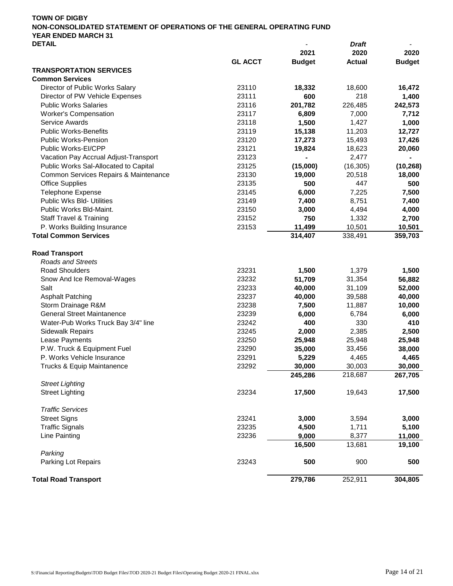| ᅜᇅᄳᄔ                                  |                |               | viait         |               |
|---------------------------------------|----------------|---------------|---------------|---------------|
|                                       |                | 2021          | 2020          | 2020          |
|                                       | <b>GL ACCT</b> | <b>Budget</b> | <b>Actual</b> | <b>Budget</b> |
| <b>TRANSPORTATION SERVICES</b>        |                |               |               |               |
| <b>Common Services</b>                |                |               |               |               |
| Director of Public Works Salary       | 23110          | 18,332        | 18,600        | 16,472        |
| Director of PW Vehicle Expenses       | 23111          | 600           | 218           | 1,400         |
| <b>Public Works Salaries</b>          | 23116          | 201,782       | 226,485       | 242,573       |
| <b>Worker's Compensation</b>          | 23117          | 6,809         | 7,000         | 7,712         |
| <b>Service Awards</b>                 | 23118          | 1,500         | 1,427         | 1,000         |
| <b>Public Works-Benefits</b>          | 23119          | 15,138        | 11,203        | 12,727        |
| <b>Public Works-Pension</b>           | 23120          | 17,273        | 15,493        | 17,426        |
| Public Works-EI/CPP                   | 23121          | 19,824        | 18,623        | 20,060        |
| Vacation Pay Accrual Adjust-Transport | 23123          |               | 2,477         |               |
| Public Works Sal-Allocated to Capital | 23125          | (15,000)      | (16, 305)     | (10, 268)     |
| Common Services Repairs & Maintenance | 23130          | 19,000        | 20,518        | 18,000        |
| <b>Office Supplies</b>                | 23135          | 500           | 447           | 500           |
| <b>Telephone Expense</b>              | 23145          | 6,000         | 7,225         | 7,500         |
| Public Wks Bld- Utilities             | 23149          | 7,400         | 8,751         | 7,400         |
| Public Works Bld-Maint.               | 23150          | 3,000         | 4,494         | 4,000         |
| <b>Staff Travel &amp; Training</b>    | 23152          | 750           | 1,332         | 2,700         |
| P. Works Building Insurance           | 23153          | 11,499        | 10,501        | 10,501        |
| <b>Total Common Services</b>          |                | 314,407       | 338,491       | 359,703       |
|                                       |                |               |               |               |
| <b>Road Transport</b>                 |                |               |               |               |
| <b>Roads and Streets</b>              |                |               |               |               |
| <b>Road Shoulders</b>                 | 23231          | 1,500         | 1,379         | 1,500         |
| Snow And Ice Removal-Wages            | 23232          | 51,709        | 31,354        | 56,882        |
| Salt                                  | 23233          | 40,000        | 31,109        | 52,000        |
| <b>Asphalt Patching</b>               | 23237          | 40,000        | 39,588        | 40,000        |
| Storm Drainage R&M                    | 23238          | 7,500         | 11,887        | 10,000        |
| <b>General Street Maintanence</b>     | 23239          | 6,000         | 6,784         | 6,000         |
| Water-Pub Works Truck Bay 3/4" line   | 23242          | 400           | 330           | 410           |
| <b>Sidewalk Repairs</b>               | 23245          | 2,000         | 2,385         | 2,500         |
| Lease Payments                        | 23250          | 25,948        | 25,948        | 25,948        |
| P.W. Truck & Equipment Fuel           | 23290          | 35,000        | 33,456        | 38,000        |
| P. Works Vehicle Insurance            | 23291          | 5,229         | 4,465         | 4,465         |
| Trucks & Equip Maintanence            | 23292          | 30,000        | 30,003        | 30,000        |
|                                       |                | 245,286       | 218,687       | 267,705       |
| <b>Street Lighting</b>                |                |               |               |               |
| <b>Street Lighting</b>                | 23234          | 17,500        | 19,643        | 17,500        |
|                                       |                |               |               |               |
| <b>Traffic Services</b>               |                |               |               |               |
| <b>Street Signs</b>                   | 23241          | 3,000         | 3,594         | 3,000         |
| <b>Traffic Signals</b>                | 23235          | 4,500         | 1,711         | 5,100         |
| Line Painting                         | 23236          | 9,000         | 8,377         | 11,000        |
|                                       |                | 16,500        | 13,681        | 19,100        |
| Parking                               |                |               |               |               |
| Parking Lot Repairs                   | 23243          | 500           | 900           | 500           |
|                                       |                |               |               |               |
| <b>Total Road Transport</b>           |                | 279,786       | 252,911       | 304,805       |
|                                       |                |               |               |               |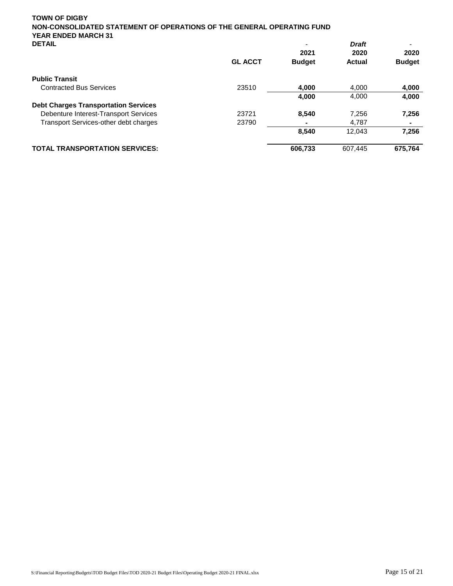| DEIAIL                                      |                | $\overline{\phantom{0}}$<br>2021 | vran<br>2020  | 2020          |
|---------------------------------------------|----------------|----------------------------------|---------------|---------------|
|                                             | <b>GL ACCT</b> | <b>Budget</b>                    | <b>Actual</b> | <b>Budget</b> |
| <b>Public Transit</b>                       |                |                                  |               |               |
| <b>Contracted Bus Services</b>              | 23510          | 4.000                            | 4.000         | 4,000         |
|                                             |                | 4,000                            | 4,000         | 4,000         |
| <b>Debt Charges Transportation Services</b> |                |                                  |               |               |
| Debenture Interest-Transport Services       | 23721          | 8.540                            | 7,256         | 7,256         |
| Transport Services-other debt charges       | 23790          |                                  | 4.787         | ۰             |
|                                             |                | 8,540                            | 12,043        | 7,256         |
| <b>TOTAL TRANSPORTATION SERVICES:</b>       |                | 606,733                          | 607,445       | 675,764       |
|                                             |                |                                  |               |               |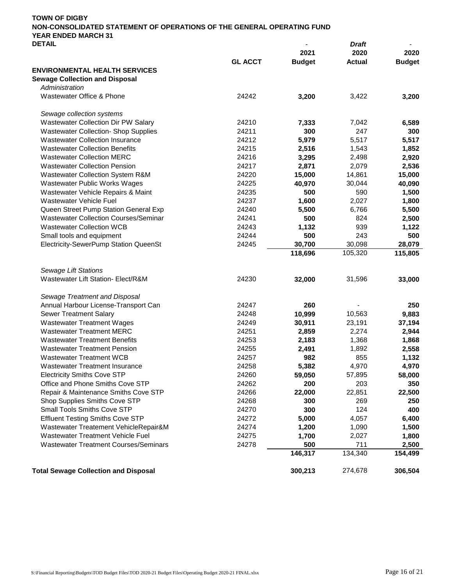| TOWN OF DIGBY                                                          |                          |              |  |
|------------------------------------------------------------------------|--------------------------|--------------|--|
| NON-CONSOLIDATED STATEMENT OF OPERATIONS OF THE GENERAL OPERATING FUND |                          |              |  |
| YEAR ENDED MARCH 31                                                    |                          |              |  |
| <b>DETAIL</b>                                                          | $\overline{\phantom{0}}$ | <b>Draft</b> |  |

| <b>DEIAIL</b>                                |                |               |               |               |
|----------------------------------------------|----------------|---------------|---------------|---------------|
|                                              |                | 2021          | 2020          | 2020          |
|                                              | <b>GL ACCT</b> | <b>Budget</b> | <b>Actual</b> | <b>Budget</b> |
| <b>ENVIRONMENTAL HEALTH SERVICES</b>         |                |               |               |               |
| <b>Sewage Collection and Disposal</b>        |                |               |               |               |
| Administration                               |                |               |               |               |
| Wastewater Office & Phone                    | 24242          | 3,200         | 3,422         | 3,200         |
| Sewage collection systems                    |                |               |               |               |
| Wastewater Collection Dir PW Salary          | 24210          | 7,333         | 7,042         | 6,589         |
| <b>Wastewater Collection- Shop Supplies</b>  | 24211          | 300           | 247           | 300           |
| <b>Wastewater Collection Insurance</b>       | 24212          | 5,979         | 5,517         | 5,517         |
| <b>Wastewater Collection Benefits</b>        | 24215          | 2,516         | 1,543         | 1,852         |
| <b>Wastewater Collection MERC</b>            | 24216          | 3,295         | 2,498         | 2,920         |
| <b>Wastewater Collection Pension</b>         | 24217          | 2,871         | 2,079         | 2,536         |
| Wastewater Collection System R&M             | 24220          | 15,000        | 14,861        | 15,000        |
| Wastewater Public Works Wages                | 24225          | 40,970        | 30,044        | 40,090        |
| Wastewater Vehicle Repairs & Maint           | 24235          | 500           | 590           | 1,500         |
| Wastewater Vehicle Fuel                      | 24237          | 1,600         | 2,027         | 1,800         |
| Queen Street Pump Station General Exp        | 24240          | 5,500         | 6,766         | 5,500         |
| <b>Wastewater Collection Courses/Seminar</b> | 24241          | 500           | 824           | 2,500         |
| <b>Wastewater Collection WCB</b>             | 24243          | 1,132         | 939           | 1,122         |
| Small tools and equipment                    | 24244          | 500           | 243           | 500           |
| Electricity-SewerPump Station QueenSt        | 24245          | 30,700        | 30,098        | 28,079        |
|                                              |                | 118,696       | 105,320       | 115,805       |
| <b>Sewage Lift Stations</b>                  |                |               |               |               |
| Wastewater Lift Station- Elect/R&M           | 24230          | 32,000        | 31,596        | 33,000        |
|                                              |                |               |               |               |
| Sewage Treatment and Disposal                |                |               |               |               |
| Annual Harbour License-Transport Can         | 24247          | 260           |               | 250           |
| Sewer Treatment Salary                       | 24248          | 10,999        | 10,563        | 9,883         |
| <b>Wastewater Treatment Wages</b>            | 24249          | 30,911        | 23,191        | 37,194        |
| <b>Wastewater Treatment MERC</b>             | 24251          | 2,859         | 2,274         | 2,944         |
| <b>Wastewater Treatment Benefits</b>         | 24253          | 2,183         | 1,368         | 1,868         |
| <b>Wastewater Treatment Pension</b>          | 24255          | 2,491         | 1,892         | 2,558         |
| <b>Wastewater Treatment WCB</b>              | 24257          | 982           | 855           | 1,132         |
| <b>Wastewater Treatment Insurance</b>        | 24258          | 5,382         | 4,970         | 4,970         |
| <b>Electricity Smiths Cove STP</b>           | 24260          | 59,050        | 57,895        | 58,000        |
| Office and Phone Smiths Cove STP             | 24262          | 200           | 203           | 350           |
| Repair & Maintenance Smiths Cove STP         | 24266          | 22,000        | 22,851        | 22,500        |
| Shop Supplies Smiths Cove STP                | 24268          | 300           | 269           | 250           |
| Small Tools Smiths Cove STP                  | 24270          | 300           | 124           | 400           |
| <b>Effluent Testing Smiths Cove STP</b>      | 24272          | 5,000         | 4,057         | 6,400         |
| Wastewater Treatement VehicleRepair&M        | 24274          | 1,200         | 1,090         | 1,500         |
| Wastewater Treatment Vehicle Fuel            | 24275          | 1,700         | 2,027         | 1,800         |
| <b>Wastewater Treatment Courses/Seminars</b> | 24278          | 500           | 711           | 2,500         |
|                                              |                | 146,317       | 134,340       | 154,499       |
| <b>Total Sewage Collection and Disposal</b>  |                | 300,213       | 274,678       | 306,504       |
|                                              |                |               |               |               |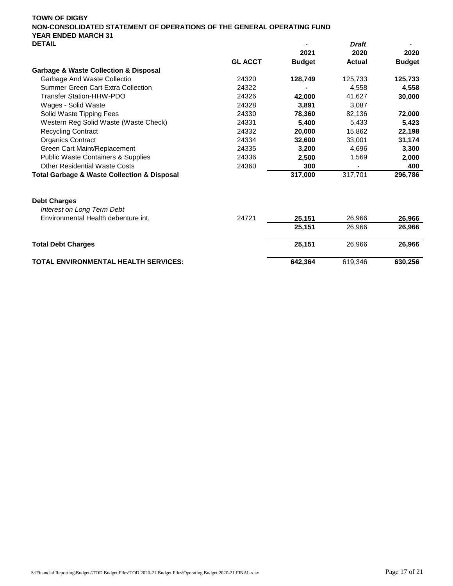| <b>DEIAIL</b>                                              |                |               | vran          |               |
|------------------------------------------------------------|----------------|---------------|---------------|---------------|
|                                                            |                | 2021          | 2020          | 2020          |
|                                                            | <b>GL ACCT</b> | <b>Budget</b> | <b>Actual</b> | <b>Budget</b> |
| <b>Garbage &amp; Waste Collection &amp; Disposal</b>       |                |               |               |               |
| Garbage And Waste Collectio                                | 24320          | 128,749       | 125,733       | 125,733       |
| Summer Green Cart Extra Collection                         | 24322          |               | 4.558         | 4,558         |
| Transfer Station-HHW-PDO                                   | 24326          | 42,000        | 41,627        | 30,000        |
| Wages - Solid Waste                                        | 24328          | 3.891         | 3.087         |               |
| Solid Waste Tipping Fees                                   | 24330          | 78,360        | 82,136        | 72,000        |
| Western Reg Solid Waste (Waste Check)                      | 24331          | 5.400         | 5,433         | 5,423         |
| <b>Recycling Contract</b>                                  | 24332          | 20,000        | 15.862        | 22,198        |
| <b>Organics Contract</b>                                   | 24334          | 32,600        | 33,001        | 31,174        |
| Green Cart Maint/Replacement                               | 24335          | 3.200         | 4.696         | 3,300         |
| <b>Public Waste Containers &amp; Supplies</b>              | 24336          | 2,500         | 1,569         | 2,000         |
| <b>Other Residential Waste Costs</b>                       | 24360          | 300           |               | 400           |
| <b>Total Garbage &amp; Waste Collection &amp; Disposal</b> |                | 317.000       | 317.701       | 296.786       |

| <b>Debt Charges</b><br>Interest on Long Term Debt |       |         |         |         |
|---------------------------------------------------|-------|---------|---------|---------|
| Environmental Health debenture int.               | 24721 | 25.151  | 26,966  | 26,966  |
|                                                   |       | 25.151  | 26.966  | 26.966  |
| <b>Total Debt Charges</b>                         |       | 25.151  | 26.966  | 26.966  |
| <b>TOTAL ENVIRONMENTAL HEALTH SERVICES:</b>       |       | 642.364 | 619.346 | 630,256 |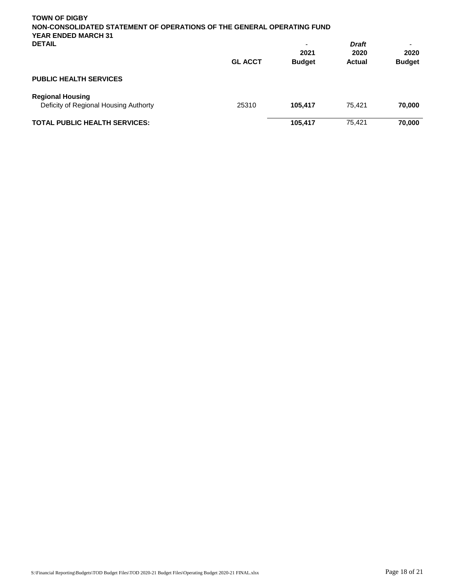| <b>TOWN OF DIGBY</b>                                                   |                |                          |               |               |
|------------------------------------------------------------------------|----------------|--------------------------|---------------|---------------|
| NON-CONSOLIDATED STATEMENT OF OPERATIONS OF THE GENERAL OPERATING FUND |                |                          |               |               |
| <b>YEAR ENDED MARCH 31</b>                                             |                |                          |               |               |
| <b>DETAIL</b>                                                          |                | $\overline{\phantom{0}}$ | <b>Draft</b>  |               |
|                                                                        |                | 2021                     | 2020          | 2020          |
|                                                                        | <b>GL ACCT</b> | <b>Budget</b>            | <b>Actual</b> |               |
|                                                                        |                |                          |               | <b>Budget</b> |
| <b>PUBLIC HEALTH SERVICES</b>                                          |                |                          |               |               |
| <b>Regional Housing</b>                                                |                |                          |               |               |
| Deficity of Regional Housing Authorty                                  | 25310          | 105.417                  | 75.421        | 70,000        |
| <b>TOTAL PUBLIC HEALTH SERVICES:</b>                                   |                | 105,417                  | 75,421        | 70,000        |
|                                                                        |                |                          |               |               |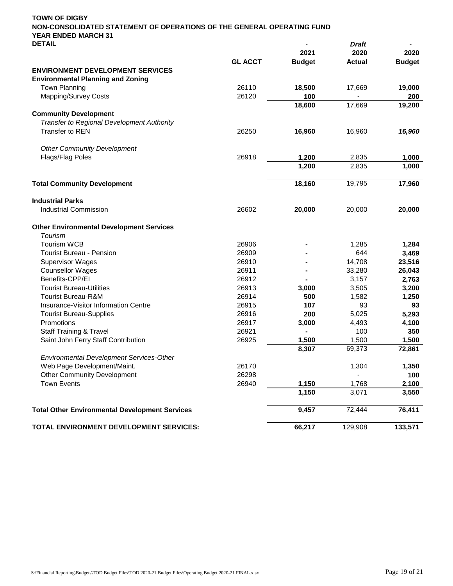| <b>DETAIL</b>                                           |                |               | <b>Draft</b>  |               |
|---------------------------------------------------------|----------------|---------------|---------------|---------------|
|                                                         |                | 2021          | 2020          | 2020          |
|                                                         | <b>GL ACCT</b> | <b>Budget</b> | <b>Actual</b> | <b>Budget</b> |
| <b>ENVIRONMENT DEVELOPMENT SERVICES</b>                 |                |               |               |               |
| <b>Environmental Planning and Zoning</b>                |                |               |               |               |
| <b>Town Planning</b>                                    | 26110          | 18,500        | 17,669        | 19,000        |
| Mapping/Survey Costs                                    | 26120          | 100           |               | 200           |
|                                                         |                | 18,600        | 17,669        | 19,200        |
| <b>Community Development</b>                            |                |               |               |               |
| Transfer to Regional Development Authority              |                |               |               |               |
| <b>Transfer to REN</b>                                  | 26250          | 16,960        | 16,960        | 16,960        |
| <b>Other Community Development</b>                      |                |               |               |               |
| Flags/Flag Poles                                        | 26918          | 1,200         | 2,835         | 1,000         |
|                                                         |                | 1,200         | 2,835         | 1,000         |
| <b>Total Community Development</b>                      |                | 18,160        | 19,795        | 17,960        |
|                                                         |                |               |               |               |
| <b>Industrial Parks</b><br><b>Industrial Commission</b> | 26602          | 20,000        | 20,000        | 20,000        |
|                                                         |                |               |               |               |
| <b>Other Environmental Development Services</b>         |                |               |               |               |
| Tourism                                                 |                |               |               |               |
| <b>Tourism WCB</b>                                      | 26906          |               | 1,285         | 1,284         |
| <b>Tourist Bureau - Pension</b>                         | 26909          |               | 644           | 3,469         |
| <b>Supervisor Wages</b>                                 | 26910          |               | 14,708        | 23,516        |
| <b>Counsellor Wages</b>                                 | 26911          |               | 33,280        | 26,043        |
| Benefits-CPP/EI                                         | 26912          |               | 3,157         | 2,763         |
| <b>Tourist Bureau-Utilities</b>                         | 26913          | 3,000         | 3,505         | 3,200         |
| <b>Tourist Bureau-R&amp;M</b>                           | 26914          | 500           | 1,582         | 1,250         |
| Insurance-Visitor Information Centre                    | 26915          | 107           | 93            | 93            |
| <b>Tourist Bureau-Supplies</b>                          | 26916          | 200           | 5,025         | 5,293         |
| Promotions                                              | 26917          | 3,000         | 4,493         | 4,100         |
| <b>Staff Training &amp; Travel</b>                      | 26921          |               | 100           | 350           |
| Saint John Ferry Staff Contribution                     | 26925          | 1,500         | 1,500         | 1,500         |
|                                                         |                | 8,307         | 69,373        | 72,861        |
| Environmental Development Services-Other                |                |               |               |               |
| Web Page Development/Maint.                             | 26170          |               | 1,304         | 1,350         |
| Other Community Development                             | 26298          |               |               | 100           |
| <b>Town Events</b>                                      | 26940          | 1,150         | 1,768         | 2,100         |
|                                                         |                | 1,150         | 3,071         | 3,550         |
| <b>Total Other Environmental Development Services</b>   |                | 9,457         | 72,444        | 76,411        |
| TOTAL ENVIRONMENT DEVELOPMENT SERVICES:                 |                | 66,217        | 129,908       | 133,571       |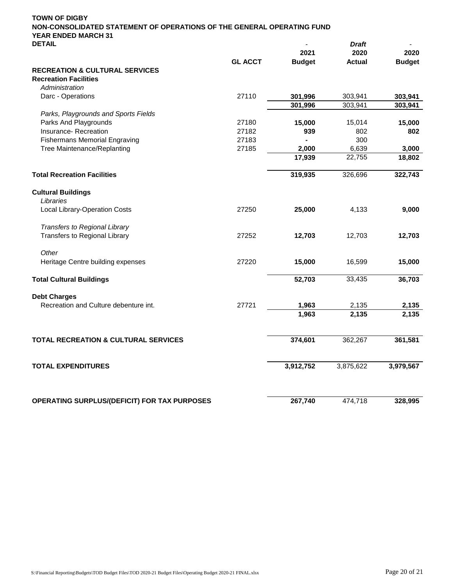| <b>TOWN OF DIGBY</b>                                                                                 |                |               |               |               |
|------------------------------------------------------------------------------------------------------|----------------|---------------|---------------|---------------|
| NON-CONSOLIDATED STATEMENT OF OPERATIONS OF THE GENERAL OPERATING FUND<br><b>YEAR ENDED MARCH 31</b> |                |               |               |               |
| <b>DETAIL</b>                                                                                        |                |               | Draft         |               |
|                                                                                                      |                | 2021          | 2020          | 2020          |
|                                                                                                      | <b>GL ACCT</b> | <b>Budget</b> | <b>Actual</b> | <b>Budget</b> |
| <b>RECREATION &amp; CULTURAL SERVICES</b>                                                            |                |               |               |               |
| <b>Recreation Facilities</b>                                                                         |                |               |               |               |
| Administration                                                                                       |                |               |               |               |
| Darc - Operations                                                                                    | 27110          | 301,996       | 303,941       | 303,941       |
|                                                                                                      |                | 301,996       | 303,941       | 303,941       |
| Parks, Playgrounds and Sports Fields                                                                 |                |               |               |               |
| Parks And Playgrounds                                                                                | 27180          | 15,000        | 15,014        | 15,000        |
| Insurance-Recreation                                                                                 | 27182          | 939           | 802           | 802           |
| <b>Fishermans Memorial Engraving</b>                                                                 | 27183          |               | 300           |               |
| Tree Maintenance/Replanting                                                                          | 27185          | 2,000         | 6,639         | 3,000         |
|                                                                                                      |                | 17,939        | 22,755        | 18,802        |
| <b>Total Recreation Facilities</b>                                                                   |                | 319,935       | 326,696       | 322,743       |
| <b>Cultural Buildings</b>                                                                            |                |               |               |               |
| I ibraries                                                                                           |                |               |               |               |
| <b>Local Library-Operation Costs</b>                                                                 | 27250          | 25,000        | 4,133         | 9,000         |
| Transfers to Regional Library                                                                        |                |               |               |               |
| Transfers to Regional Library                                                                        | 27252          | 12,703        | 12,703        | 12,703        |
| Other                                                                                                |                |               |               |               |
| Heritage Centre building expenses                                                                    | 27220          | 15,000        | 16,599        | 15,000        |
| <b>Total Cultural Buildings</b>                                                                      |                | 52,703        | 33,435        | 36,703        |
| <b>Debt Charges</b>                                                                                  |                |               |               |               |
| Recreation and Culture debenture int.                                                                | 27721          | 1,963         | 2,135         | 2,135         |
|                                                                                                      |                | 1,963         | 2,135         | 2,135         |
|                                                                                                      |                |               |               |               |
| <b>TOTAL RECREATION &amp; CULTURAL SERVICES</b>                                                      |                | 374,601       | 362,267       | 361,581       |
| <b>TOTAL EXPENDITURES</b>                                                                            |                | 3,912,752     | 3,875,622     | 3,979,567     |
| OPERATING SURPLUS/(DEFICIT) FOR TAX PURPOSES                                                         |                | 267,740       | 474,718       | 328,995       |